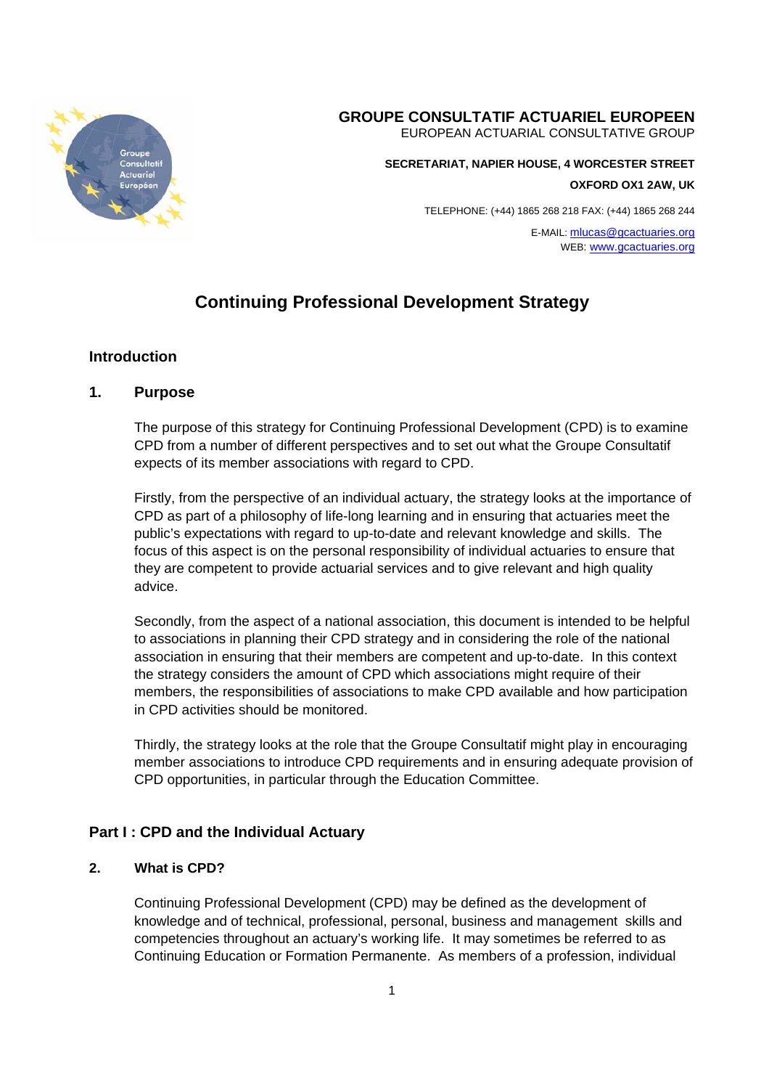

## **GROUPE CONSULTATIF ACTUARIEL EUROPEEN**

EUROPEAN ACTUARIAL CONSULTATIVE GROUP

**SECRETARIAT, NAPIER HOUSE, 4 WORCESTER STREET** 

**OXFORD OX1 2AW, UK** 

TELEPHONE: (+44) 1865 268 218 FAX: (+44) 1865 268 244

E-MAIL: mlucas@gcactuaries.org WEB: www.gcactuaries.org

# **Continuing Professional Development Strategy**

## **Introduction**

## **1. Purpose**

The purpose of this strategy for Continuing Professional Development (CPD) is to examine CPD from a number of different perspectives and to set out what the Groupe Consultatif expects of its member associations with regard to CPD.

Firstly, from the perspective of an individual actuary, the strategy looks at the importance of CPD as part of a philosophy of life-long learning and in ensuring that actuaries meet the public's expectations with regard to up-to-date and relevant knowledge and skills. The focus of this aspect is on the personal responsibility of individual actuaries to ensure that they are competent to provide actuarial services and to give relevant and high quality advice.

Secondly, from the aspect of a national association, this document is intended to be helpful to associations in planning their CPD strategy and in considering the role of the national association in ensuring that their members are competent and up-to-date. In this context the strategy considers the amount of CPD which associations might require of their members, the responsibilities of associations to make CPD available and how participation in CPD activities should be monitored.

Thirdly, the strategy looks at the role that the Groupe Consultatif might play in encouraging member associations to introduce CPD requirements and in ensuring adequate provision of CPD opportunities, in particular through the Education Committee.

## **Part I : CPD and the Individual Actuary**

#### **2. What is CPD?**

Continuing Professional Development (CPD) may be defined as the development of knowledge and of technical, professional, personal, business and management skills and competencies throughout an actuary's working life. It may sometimes be referred to as Continuing Education or Formation Permanente. As members of a profession, individual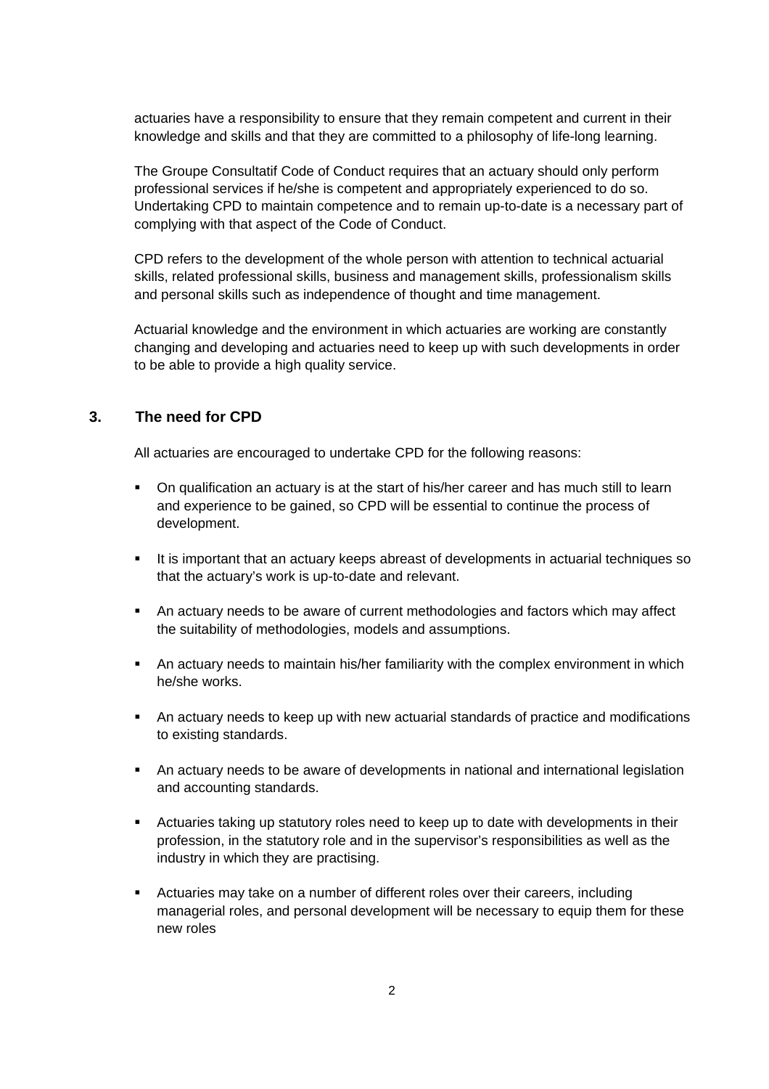actuaries have a responsibility to ensure that they remain competent and current in their knowledge and skills and that they are committed to a philosophy of life-long learning.

The Groupe Consultatif Code of Conduct requires that an actuary should only perform professional services if he/she is competent and appropriately experienced to do so. Undertaking CPD to maintain competence and to remain up-to-date is a necessary part of complying with that aspect of the Code of Conduct.

CPD refers to the development of the whole person with attention to technical actuarial skills, related professional skills, business and management skills, professionalism skills and personal skills such as independence of thought and time management.

Actuarial knowledge and the environment in which actuaries are working are constantly changing and developing and actuaries need to keep up with such developments in order to be able to provide a high quality service.

## **3. The need for CPD**

All actuaries are encouraged to undertake CPD for the following reasons:

- On qualification an actuary is at the start of his/her career and has much still to learn and experience to be gained, so CPD will be essential to continue the process of development.
- It is important that an actuary keeps abreast of developments in actuarial techniques so that the actuary's work is up-to-date and relevant.
- An actuary needs to be aware of current methodologies and factors which may affect the suitability of methodologies, models and assumptions.
- An actuary needs to maintain his/her familiarity with the complex environment in which he/she works.
- An actuary needs to keep up with new actuarial standards of practice and modifications to existing standards.
- An actuary needs to be aware of developments in national and international legislation and accounting standards.
- Actuaries taking up statutory roles need to keep up to date with developments in their profession, in the statutory role and in the supervisor's responsibilities as well as the industry in which they are practising.
- Actuaries may take on a number of different roles over their careers, including managerial roles, and personal development will be necessary to equip them for these new roles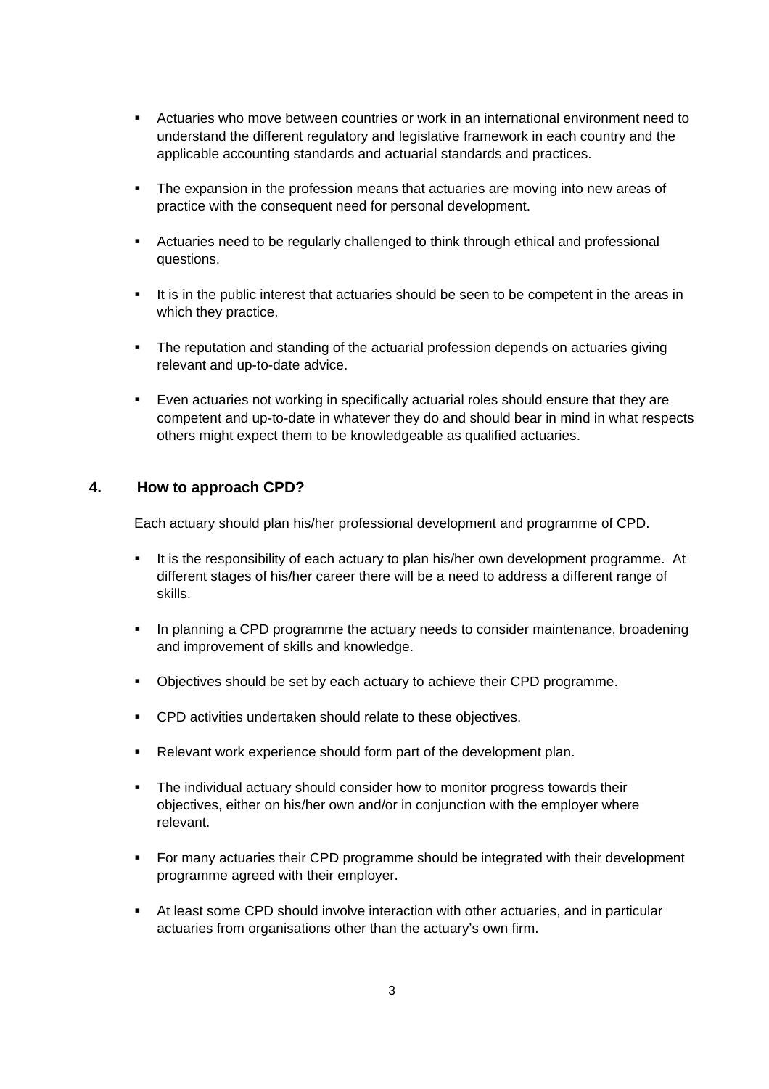- Actuaries who move between countries or work in an international environment need to understand the different regulatory and legislative framework in each country and the applicable accounting standards and actuarial standards and practices.
- The expansion in the profession means that actuaries are moving into new areas of practice with the consequent need for personal development.
- Actuaries need to be regularly challenged to think through ethical and professional questions.
- It is in the public interest that actuaries should be seen to be competent in the areas in which they practice.
- The reputation and standing of the actuarial profession depends on actuaries giving relevant and up-to-date advice.
- Even actuaries not working in specifically actuarial roles should ensure that they are competent and up-to-date in whatever they do and should bear in mind in what respects others might expect them to be knowledgeable as qualified actuaries.

## **4. How to approach CPD?**

Each actuary should plan his/her professional development and programme of CPD.

- It is the responsibility of each actuary to plan his/her own development programme. At different stages of his/her career there will be a need to address a different range of skills.
- **IF** In planning a CPD programme the actuary needs to consider maintenance, broadening and improvement of skills and knowledge.
- Objectives should be set by each actuary to achieve their CPD programme.
- CPD activities undertaken should relate to these objectives.
- **Relevant work experience should form part of the development plan.**
- The individual actuary should consider how to monitor progress towards their objectives, either on his/her own and/or in conjunction with the employer where relevant.
- For many actuaries their CPD programme should be integrated with their development programme agreed with their employer.
- At least some CPD should involve interaction with other actuaries, and in particular actuaries from organisations other than the actuary's own firm.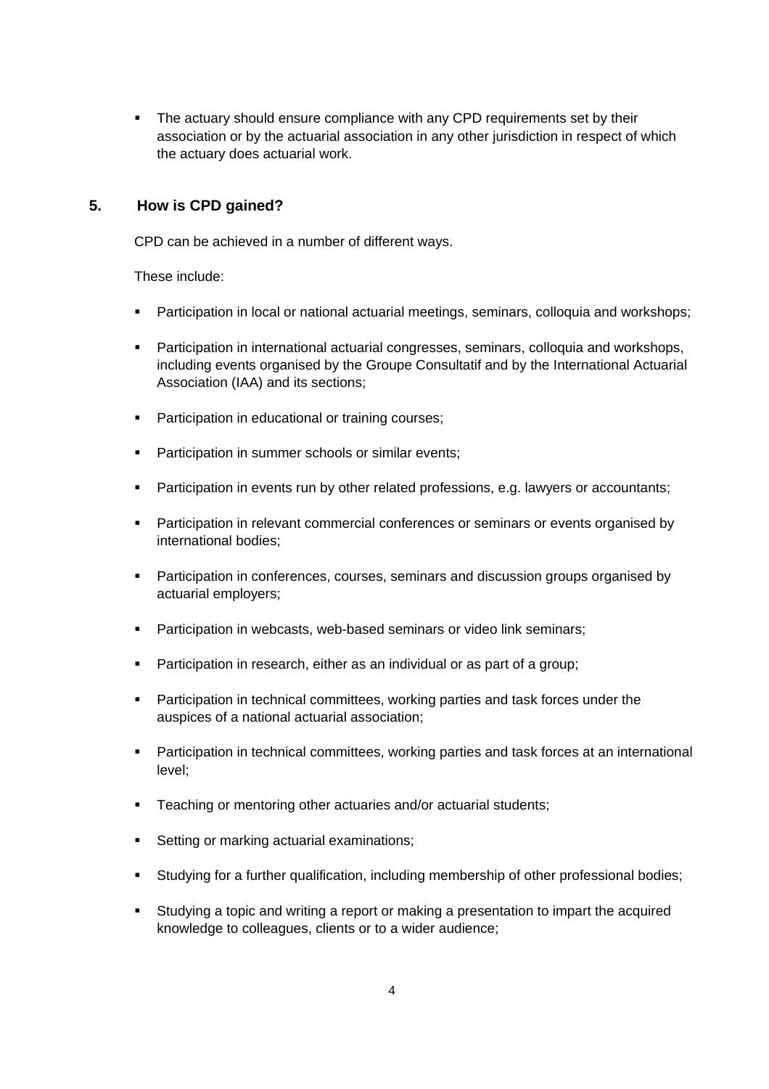• The actuary should ensure compliance with any CPD requirements set by their association or by the actuarial association in any other jurisdiction in respect of which the actuary does actuarial work.

## **5. How is CPD gained?**

CPD can be achieved in a number of different ways.

These include:

- Participation in local or national actuarial meetings, seminars, colloquia and workshops;
- Participation in international actuarial congresses, seminars, colloquia and workshops, including events organised by the Groupe Consultatif and by the International Actuarial Association (IAA) and its sections;
- **Participation in educational or training courses;**
- **Participation in summer schools or similar events;**
- **Participation in events run by other related professions, e.g. lawyers or accountants;**
- Participation in relevant commercial conferences or seminars or events organised by international bodies;
- Participation in conferences, courses, seminars and discussion groups organised by actuarial employers;
- **Participation in webcasts, web-based seminars or video link seminars;**
- Participation in research, either as an individual or as part of a group;
- **Participation in technical committees, working parties and task forces under the** auspices of a national actuarial association;
- Participation in technical committees, working parties and task forces at an international level;
- **Teaching or mentoring other actuaries and/or actuarial students;**
- **Setting or marking actuarial examinations;**
- Studying for a further qualification, including membership of other professional bodies;
- Studying a topic and writing a report or making a presentation to impart the acquired knowledge to colleagues, clients or to a wider audience;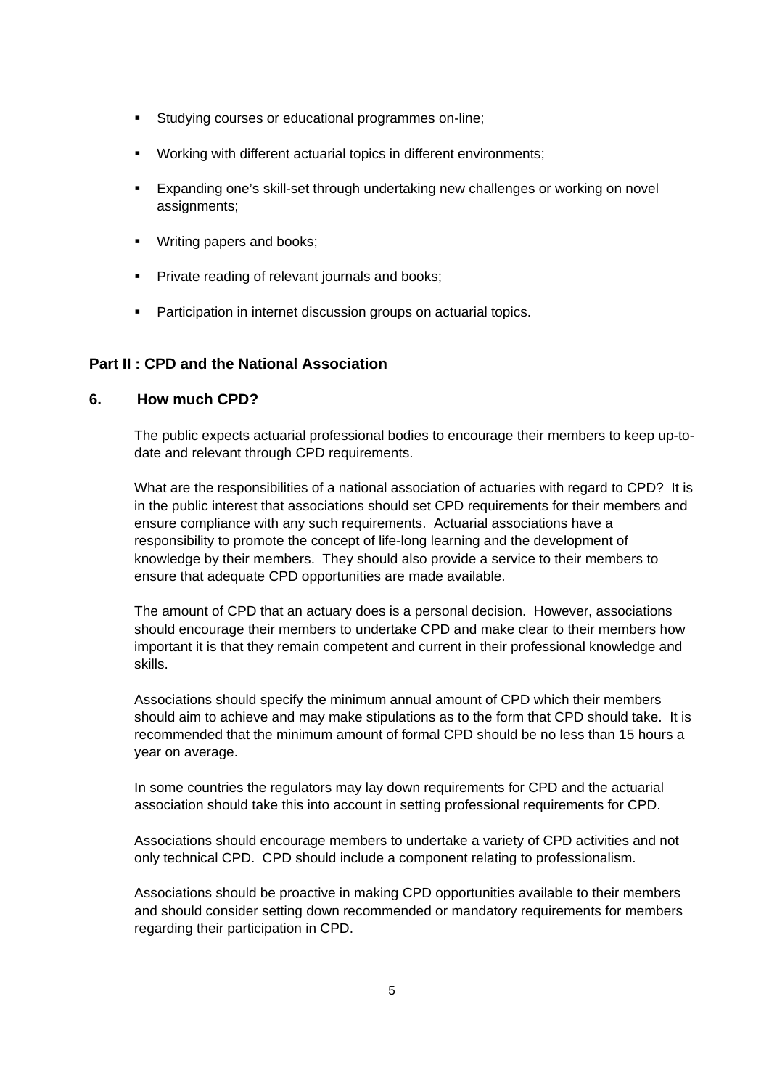- Studying courses or educational programmes on-line;
- Working with different actuarial topics in different environments;
- Expanding one's skill-set through undertaking new challenges or working on novel assignments;
- **Writing papers and books;**
- **Private reading of relevant journals and books:**
- **Participation in internet discussion groups on actuarial topics.**

## **Part II : CPD and the National Association**

#### **6. How much CPD?**

The public expects actuarial professional bodies to encourage their members to keep up-todate and relevant through CPD requirements.

What are the responsibilities of a national association of actuaries with regard to CPD? It is in the public interest that associations should set CPD requirements for their members and ensure compliance with any such requirements. Actuarial associations have a responsibility to promote the concept of life-long learning and the development of knowledge by their members. They should also provide a service to their members to ensure that adequate CPD opportunities are made available.

The amount of CPD that an actuary does is a personal decision. However, associations should encourage their members to undertake CPD and make clear to their members how important it is that they remain competent and current in their professional knowledge and skills.

Associations should specify the minimum annual amount of CPD which their members should aim to achieve and may make stipulations as to the form that CPD should take. It is recommended that the minimum amount of formal CPD should be no less than 15 hours a year on average.

In some countries the regulators may lay down requirements for CPD and the actuarial association should take this into account in setting professional requirements for CPD.

Associations should encourage members to undertake a variety of CPD activities and not only technical CPD. CPD should include a component relating to professionalism.

Associations should be proactive in making CPD opportunities available to their members and should consider setting down recommended or mandatory requirements for members regarding their participation in CPD.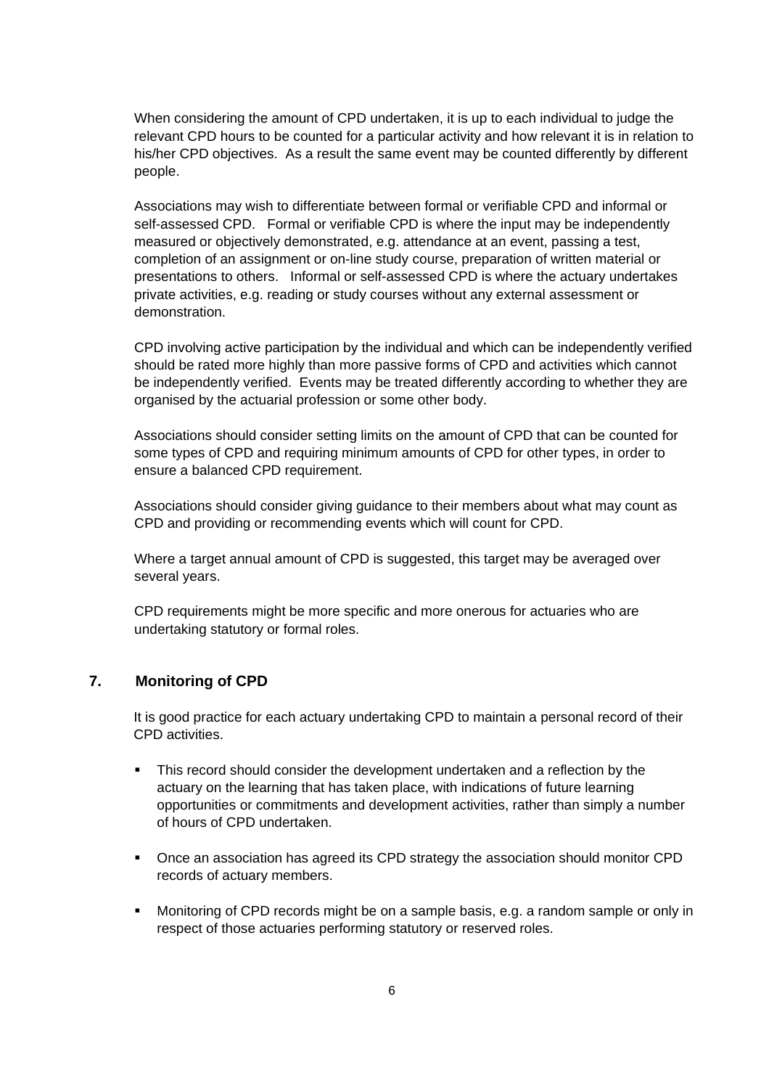When considering the amount of CPD undertaken, it is up to each individual to judge the relevant CPD hours to be counted for a particular activity and how relevant it is in relation to his/her CPD objectives. As a result the same event may be counted differently by different people.

Associations may wish to differentiate between formal or verifiable CPD and informal or self-assessed CPD. Formal or verifiable CPD is where the input may be independently measured or objectively demonstrated, e.g. attendance at an event, passing a test, completion of an assignment or on-line study course, preparation of written material or presentations to others. Informal or self-assessed CPD is where the actuary undertakes private activities, e.g. reading or study courses without any external assessment or demonstration.

CPD involving active participation by the individual and which can be independently verified should be rated more highly than more passive forms of CPD and activities which cannot be independently verified. Events may be treated differently according to whether they are organised by the actuarial profession or some other body.

Associations should consider setting limits on the amount of CPD that can be counted for some types of CPD and requiring minimum amounts of CPD for other types, in order to ensure a balanced CPD requirement.

Associations should consider giving guidance to their members about what may count as CPD and providing or recommending events which will count for CPD.

Where a target annual amount of CPD is suggested, this target may be averaged over several years.

CPD requirements might be more specific and more onerous for actuaries who are undertaking statutory or formal roles.

## **7. Monitoring of CPD**

It is good practice for each actuary undertaking CPD to maintain a personal record of their CPD activities.

- This record should consider the development undertaken and a reflection by the actuary on the learning that has taken place, with indications of future learning opportunities or commitments and development activities, rather than simply a number of hours of CPD undertaken.
- Once an association has agreed its CPD strategy the association should monitor CPD records of actuary members.
- Monitoring of CPD records might be on a sample basis, e.g. a random sample or only in respect of those actuaries performing statutory or reserved roles.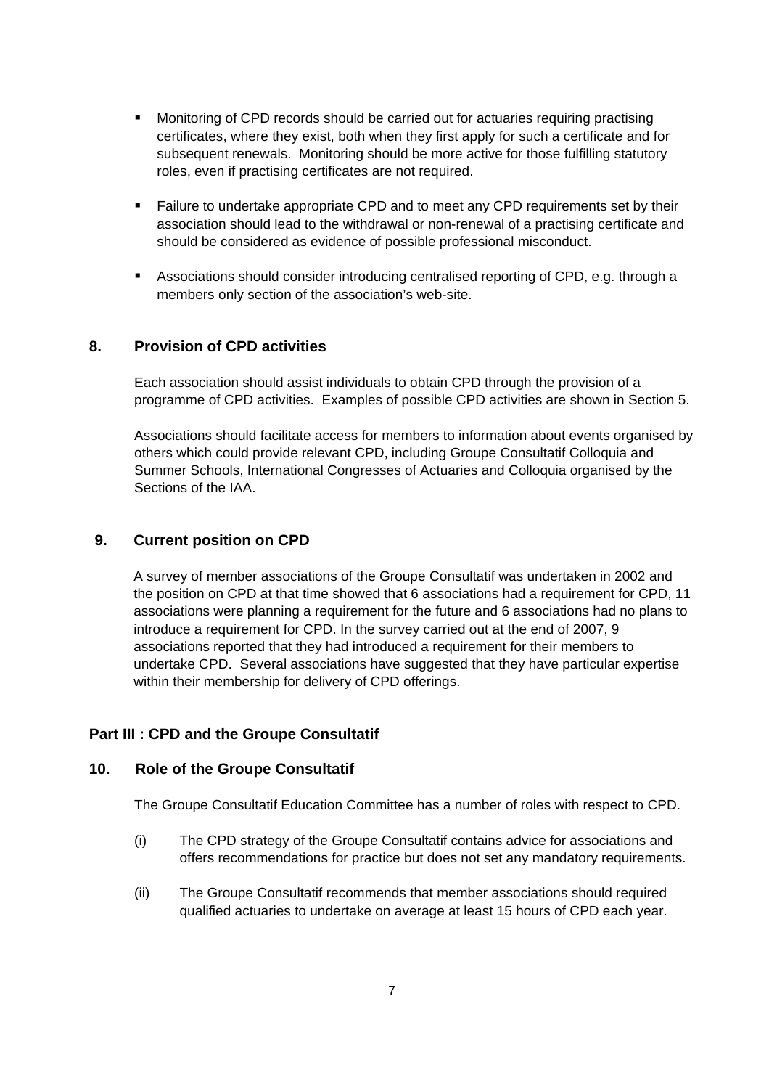- Monitoring of CPD records should be carried out for actuaries requiring practising certificates, where they exist, both when they first apply for such a certificate and for subsequent renewals. Monitoring should be more active for those fulfilling statutory roles, even if practising certificates are not required.
- **Failure to undertake appropriate CPD and to meet any CPD requirements set by their** association should lead to the withdrawal or non-renewal of a practising certificate and should be considered as evidence of possible professional misconduct.
- Associations should consider introducing centralised reporting of CPD, e.g. through a members only section of the association's web-site.

## **8. Provision of CPD activities**

Each association should assist individuals to obtain CPD through the provision of a programme of CPD activities. Examples of possible CPD activities are shown in Section 5.

 Associations should facilitate access for members to information about events organised by others which could provide relevant CPD, including Groupe Consultatif Colloquia and Summer Schools, International Congresses of Actuaries and Colloquia organised by the Sections of the IAA.

## **9. Current position on CPD**

A survey of member associations of the Groupe Consultatif was undertaken in 2002 and the position on CPD at that time showed that 6 associations had a requirement for CPD, 11 associations were planning a requirement for the future and 6 associations had no plans to introduce a requirement for CPD. In the survey carried out at the end of 2007, 9 associations reported that they had introduced a requirement for their members to undertake CPD. Several associations have suggested that they have particular expertise within their membership for delivery of CPD offerings.

#### **Part III : CPD and the Groupe Consultatif**

#### **10. Role of the Groupe Consultatif**

The Groupe Consultatif Education Committee has a number of roles with respect to CPD.

- (i) The CPD strategy of the Groupe Consultatif contains advice for associations and offers recommendations for practice but does not set any mandatory requirements.
- (ii) The Groupe Consultatif recommends that member associations should required qualified actuaries to undertake on average at least 15 hours of CPD each year.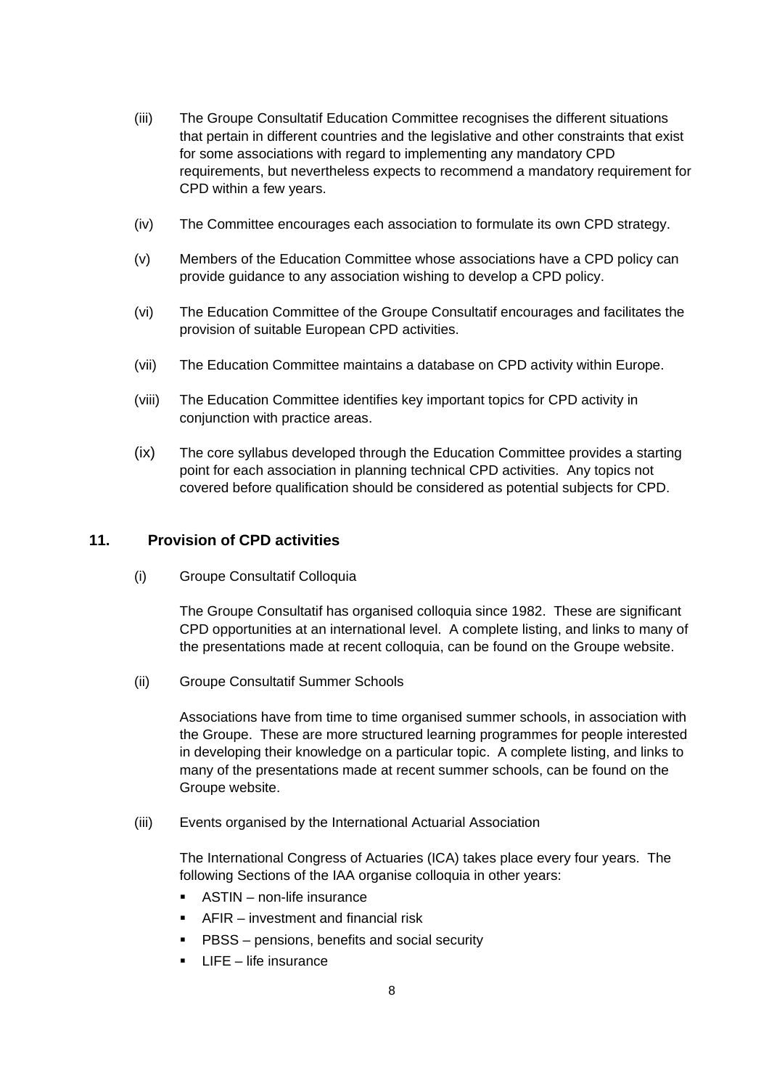- (iii) The Groupe Consultatif Education Committee recognises the different situations that pertain in different countries and the legislative and other constraints that exist for some associations with regard to implementing any mandatory CPD requirements, but nevertheless expects to recommend a mandatory requirement for CPD within a few years.
- (iv) The Committee encourages each association to formulate its own CPD strategy.
- (v) Members of the Education Committee whose associations have a CPD policy can provide guidance to any association wishing to develop a CPD policy.
- (vi) The Education Committee of the Groupe Consultatif encourages and facilitates the provision of suitable European CPD activities.
- (vii) The Education Committee maintains a database on CPD activity within Europe.
- (viii) The Education Committee identifies key important topics for CPD activity in conjunction with practice areas.
- (ix) The core syllabus developed through the Education Committee provides a starting point for each association in planning technical CPD activities. Any topics not covered before qualification should be considered as potential subjects for CPD.

## **11. Provision of CPD activities**

(i) Groupe Consultatif Colloquia

The Groupe Consultatif has organised colloquia since 1982. These are significant CPD opportunities at an international level. A complete listing, and links to many of the presentations made at recent colloquia, can be found on the Groupe website.

(ii) Groupe Consultatif Summer Schools

Associations have from time to time organised summer schools, in association with the Groupe. These are more structured learning programmes for people interested in developing their knowledge on a particular topic. A complete listing, and links to many of the presentations made at recent summer schools, can be found on the Groupe website.

(iii) Events organised by the International Actuarial Association

The International Congress of Actuaries (ICA) takes place every four years. The following Sections of the IAA organise colloquia in other years:

- ASTIN non-life insurance
- AFIR investment and financial risk
- **PBSS** pensions, benefits and social security
- $\blacksquare$  LIFE life insurance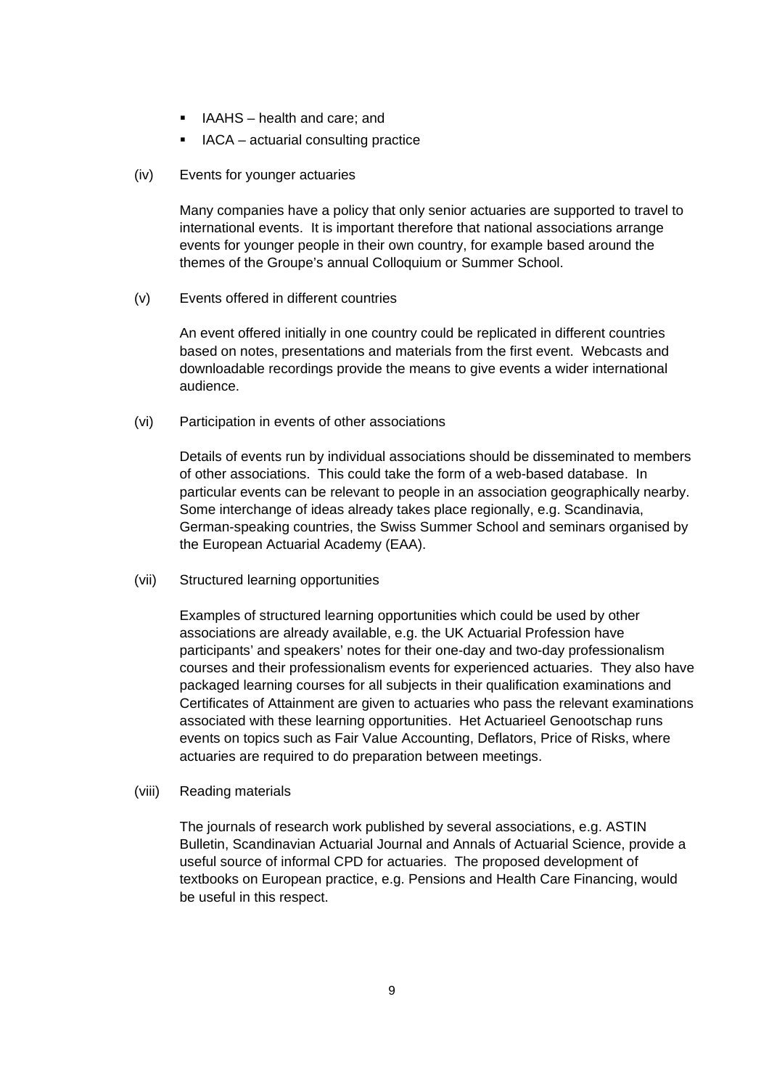- IAAHS health and care; and
- **IACA** actuarial consulting practice
- (iv) Events for younger actuaries

Many companies have a policy that only senior actuaries are supported to travel to international events. It is important therefore that national associations arrange events for younger people in their own country, for example based around the themes of the Groupe's annual Colloquium or Summer School.

(v) Events offered in different countries

An event offered initially in one country could be replicated in different countries based on notes, presentations and materials from the first event. Webcasts and downloadable recordings provide the means to give events a wider international audience.

(vi) Participation in events of other associations

Details of events run by individual associations should be disseminated to members of other associations. This could take the form of a web-based database. In particular events can be relevant to people in an association geographically nearby. Some interchange of ideas already takes place regionally, e.g. Scandinavia, German-speaking countries, the Swiss Summer School and seminars organised by the European Actuarial Academy (EAA).

(vii) Structured learning opportunities

Examples of structured learning opportunities which could be used by other associations are already available, e.g. the UK Actuarial Profession have participants' and speakers' notes for their one-day and two-day professionalism courses and their professionalism events for experienced actuaries. They also have packaged learning courses for all subjects in their qualification examinations and Certificates of Attainment are given to actuaries who pass the relevant examinations associated with these learning opportunities. Het Actuarieel Genootschap runs events on topics such as Fair Value Accounting, Deflators, Price of Risks, where actuaries are required to do preparation between meetings.

(viii) Reading materials

The journals of research work published by several associations, e.g. ASTIN Bulletin, Scandinavian Actuarial Journal and Annals of Actuarial Science, provide a useful source of informal CPD for actuaries. The proposed development of textbooks on European practice, e.g. Pensions and Health Care Financing, would be useful in this respect.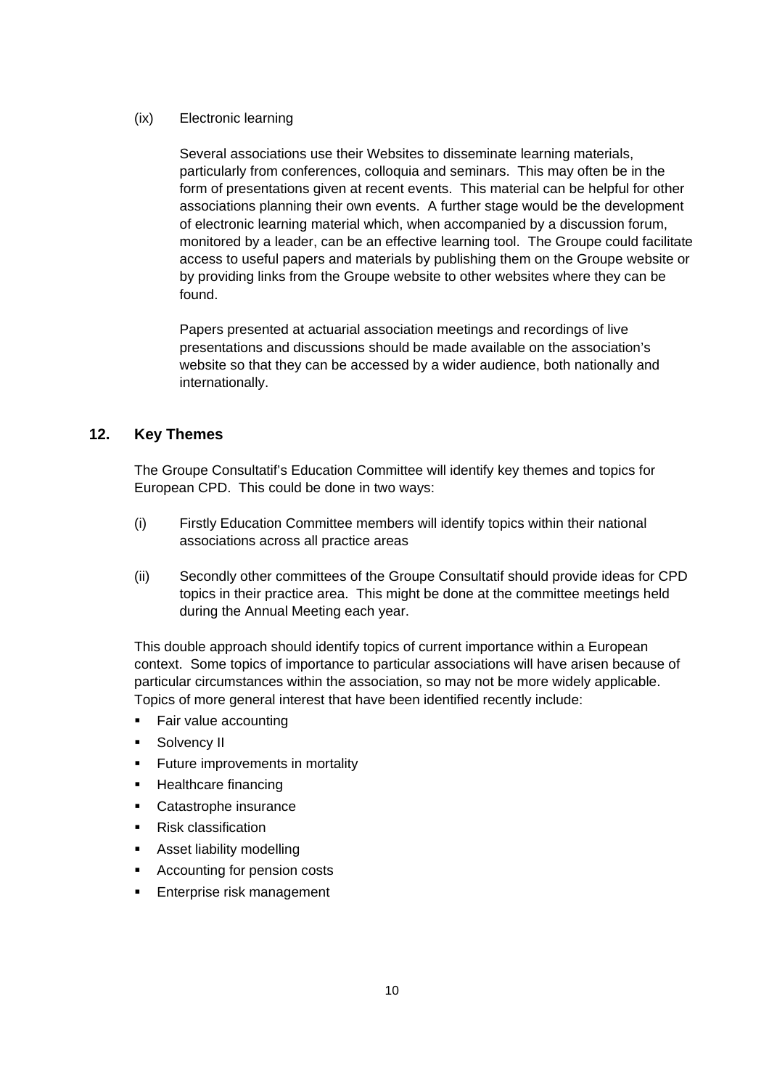## (ix) Electronic learning

Several associations use their Websites to disseminate learning materials, particularly from conferences, colloquia and seminars. This may often be in the form of presentations given at recent events. This material can be helpful for other associations planning their own events. A further stage would be the development of electronic learning material which, when accompanied by a discussion forum, monitored by a leader, can be an effective learning tool. The Groupe could facilitate access to useful papers and materials by publishing them on the Groupe website or by providing links from the Groupe website to other websites where they can be found.

Papers presented at actuarial association meetings and recordings of live presentations and discussions should be made available on the association's website so that they can be accessed by a wider audience, both nationally and internationally.

## **12. Key Themes**

The Groupe Consultatif's Education Committee will identify key themes and topics for European CPD. This could be done in two ways:

- (i) Firstly Education Committee members will identify topics within their national associations across all practice areas
- (ii) Secondly other committees of the Groupe Consultatif should provide ideas for CPD topics in their practice area. This might be done at the committee meetings held during the Annual Meeting each year.

This double approach should identify topics of current importance within a European context. Some topics of importance to particular associations will have arisen because of particular circumstances within the association, so may not be more widely applicable. Topics of more general interest that have been identified recently include:

- Fair value accounting
- **Solvency II**
- **Future improvements in mortality**
- **Healthcare financing**
- Catastrophe insurance
- **Risk classification**
- **Asset liability modelling**
- Accounting for pension costs
- **Enterprise risk management**